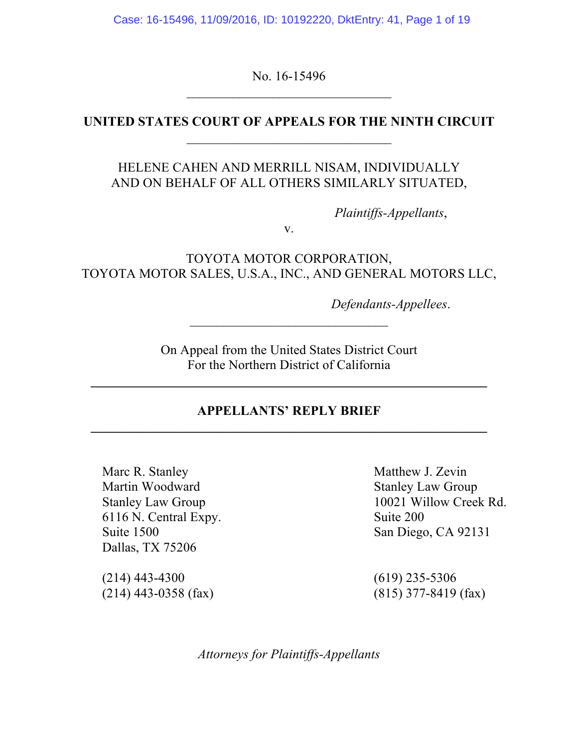Case: 16-15496, 11/09/2016, ID: 10192220, DktEntry: 41, Page 1 of 19

No. 16-15496  $\mathcal{L}_\text{max}$  , where  $\mathcal{L}_\text{max}$  and  $\mathcal{L}_\text{max}$ 

### **UNITED STATES COURT OF APPEALS FOR THE NINTH CIRCUIT**  $\mathcal{L}_\text{max}$

## HELENE CAHEN AND MERRILL NISAM, INDIVIDUALLY AND ON BEHALF OF ALL OTHERS SIMILARLY SITUATED,

*Plaintiffs-Appellants*,

v.

TOYOTA MOTOR CORPORATION, TOYOTA MOTOR SALES, U.S.A., INC., AND GENERAL MOTORS LLC,

*Defendants-Appellees*.

On Appeal from the United States District Court For the Northern District of California

**\_\_\_\_\_\_\_\_\_\_\_\_\_\_\_\_\_\_\_\_\_\_\_\_\_\_\_\_\_\_\_\_\_\_\_\_\_\_\_\_\_\_\_\_\_\_\_\_\_\_\_\_\_\_\_\_\_\_\_\_**

 $\mathcal{L}_\text{max}$  , where  $\mathcal{L}_\text{max}$  , we have the set of  $\mathcal{L}_\text{max}$ 

### **APPELLANTS' REPLY BRIEF \_\_\_\_\_\_\_\_\_\_\_\_\_\_\_\_\_\_\_\_\_\_\_\_\_\_\_\_\_\_\_\_\_\_\_\_\_\_\_\_\_\_\_\_\_\_\_\_\_\_\_\_\_\_\_\_\_\_\_\_**

Marc R. Stanley Matthew J. Zevin Martin Woodward Stanley Law Group 6116 N. Central Expy. Suite 200 Suite 1500 San Diego, CA 92131 Dallas, TX 75206

(214) 443-4300 (619) 235-5306 (214) 443-0358 (fax) (815) 377-8419 (fax)

Stanley Law Group 10021 Willow Creek Rd.

*Attorneys for Plaintiffs-Appellants*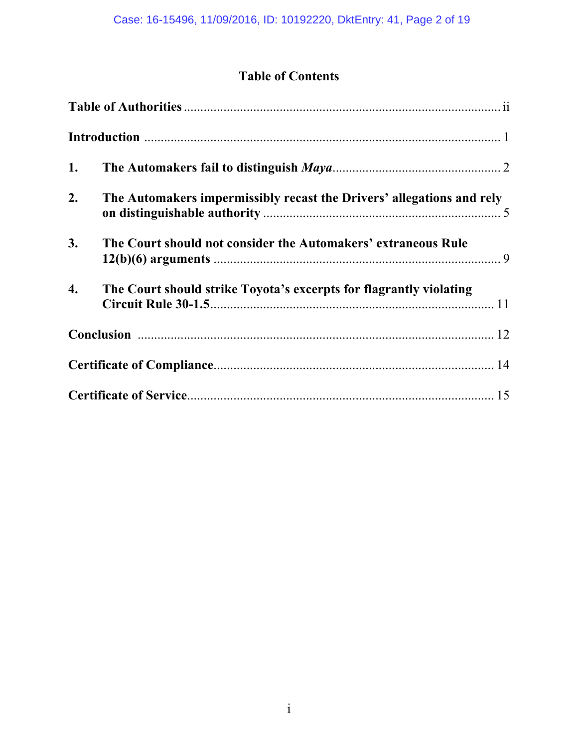# **Table of Contents**

| 1. |                                                                       |
|----|-----------------------------------------------------------------------|
| 2. | The Automakers impermissibly recast the Drivers' allegations and rely |
| 3. | The Court should not consider the Automakers' extraneous Rule         |
| 4. | The Court should strike Toyota's excerpts for flagrantly violating    |
|    |                                                                       |
|    |                                                                       |
|    |                                                                       |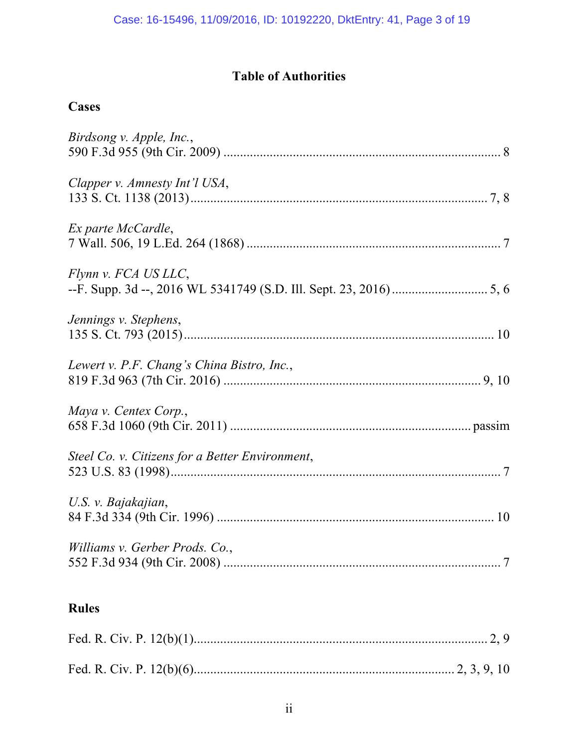# **Table of Authorities**

# **Cases**

| <b>Rules</b>                                    |
|-------------------------------------------------|
| Williams v. Gerber Prods. Co.,                  |
| U.S. v. Bajakajian,                             |
| Steel Co. v. Citizens for a Better Environment, |
| Maya v. Centex Corp.,                           |
| Lewert v. P.F. Chang's China Bistro, Inc.,      |
| Jennings v. Stephens,                           |
| Flynn v. FCA US LLC,                            |
| Ex parte McCardle,                              |
| Clapper v. Amnesty Int'l USA,                   |
| Birdsong v. Apple, Inc.,                        |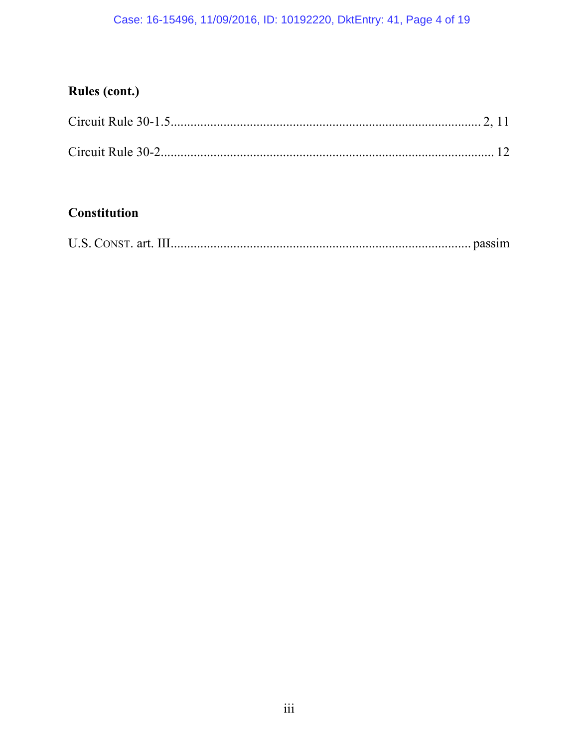# Case: 16-15496, 11/09/2016, ID: 10192220, DktEntry: 41, Page 4 of 19

# **Rules (cont.)**

# **Constitution**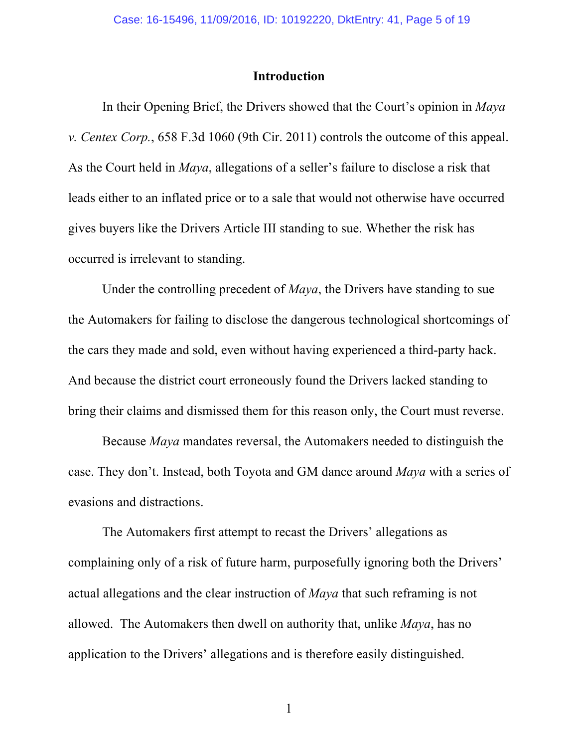#### **Introduction**

In their Opening Brief, the Drivers showed that the Court's opinion in *Maya v. Centex Corp.*, 658 F.3d 1060 (9th Cir. 2011) controls the outcome of this appeal. As the Court held in *Maya*, allegations of a seller's failure to disclose a risk that leads either to an inflated price or to a sale that would not otherwise have occurred gives buyers like the Drivers Article III standing to sue. Whether the risk has occurred is irrelevant to standing.

Under the controlling precedent of *Maya*, the Drivers have standing to sue the Automakers for failing to disclose the dangerous technological shortcomings of the cars they made and sold, even without having experienced a third-party hack. And because the district court erroneously found the Drivers lacked standing to bring their claims and dismissed them for this reason only, the Court must reverse.

Because *Maya* mandates reversal, the Automakers needed to distinguish the case. They don't. Instead, both Toyota and GM dance around *Maya* with a series of evasions and distractions.

The Automakers first attempt to recast the Drivers' allegations as complaining only of a risk of future harm, purposefully ignoring both the Drivers' actual allegations and the clear instruction of *Maya* that such reframing is not allowed. The Automakers then dwell on authority that, unlike *Maya*, has no application to the Drivers' allegations and is therefore easily distinguished.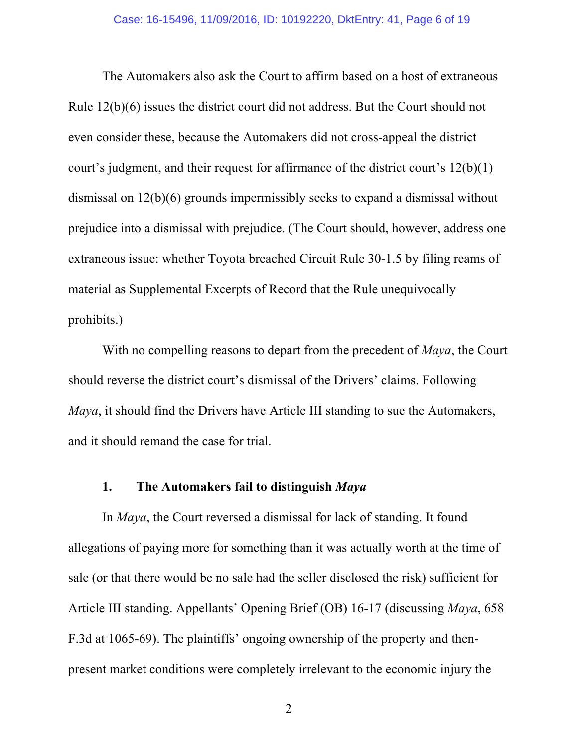The Automakers also ask the Court to affirm based on a host of extraneous Rule 12(b)(6) issues the district court did not address. But the Court should not even consider these, because the Automakers did not cross-appeal the district court's judgment, and their request for affirmance of the district court's 12(b)(1) dismissal on 12(b)(6) grounds impermissibly seeks to expand a dismissal without prejudice into a dismissal with prejudice. (The Court should, however, address one extraneous issue: whether Toyota breached Circuit Rule 30-1.5 by filing reams of material as Supplemental Excerpts of Record that the Rule unequivocally prohibits.)

With no compelling reasons to depart from the precedent of *Maya*, the Court should reverse the district court's dismissal of the Drivers' claims. Following *Maya*, it should find the Drivers have Article III standing to sue the Automakers, and it should remand the case for trial.

#### **1. The Automakers fail to distinguish** *Maya*

In *Maya*, the Court reversed a dismissal for lack of standing. It found allegations of paying more for something than it was actually worth at the time of sale (or that there would be no sale had the seller disclosed the risk) sufficient for Article III standing. Appellants' Opening Brief (OB) 16-17 (discussing *Maya*, 658 F.3d at 1065-69). The plaintiffs' ongoing ownership of the property and thenpresent market conditions were completely irrelevant to the economic injury the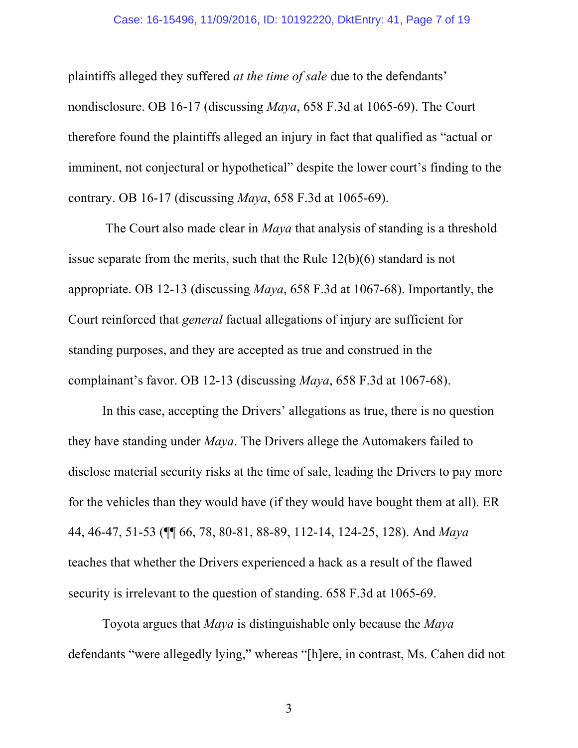#### Case: 16-15496, 11/09/2016, ID: 10192220, DktEntry: 41, Page 7 of 19

plaintiffs alleged they suffered *at the time of sale* due to the defendants' nondisclosure. OB 16-17 (discussing *Maya*, 658 F.3d at 1065-69). The Court therefore found the plaintiffs alleged an injury in fact that qualified as "actual or imminent, not conjectural or hypothetical" despite the lower court's finding to the contrary. OB 16-17 (discussing *Maya*, 658 F.3d at 1065-69).

The Court also made clear in *Maya* that analysis of standing is a threshold issue separate from the merits, such that the Rule 12(b)(6) standard is not appropriate. OB 12-13 (discussing *Maya*, 658 F.3d at 1067-68). Importantly, the Court reinforced that *general* factual allegations of injury are sufficient for standing purposes, and they are accepted as true and construed in the complainant's favor. OB 12-13 (discussing *Maya*, 658 F.3d at 1067-68).

In this case, accepting the Drivers' allegations as true, there is no question they have standing under *Maya*. The Drivers allege the Automakers failed to disclose material security risks at the time of sale, leading the Drivers to pay more for the vehicles than they would have (if they would have bought them at all). ER 44, 46-47, 51-53 (¶¶ 66, 78, 80-81, 88-89, 112-14, 124-25, 128). And *Maya* teaches that whether the Drivers experienced a hack as a result of the flawed security is irrelevant to the question of standing. 658 F.3d at 1065-69.

Toyota argues that *Maya* is distinguishable only because the *Maya* defendants "were allegedly lying," whereas "[h]ere, in contrast, Ms. Cahen did not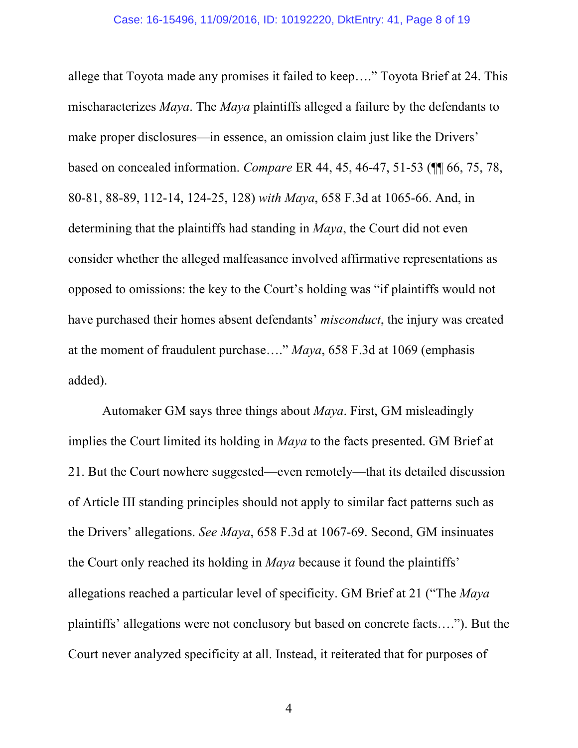allege that Toyota made any promises it failed to keep…." Toyota Brief at 24. This mischaracterizes *Maya*. The *Maya* plaintiffs alleged a failure by the defendants to make proper disclosures—in essence, an omission claim just like the Drivers' based on concealed information. *Compare* ER 44, 45, 46-47, 51-53 (¶¶ 66, 75, 78, 80-81, 88-89, 112-14, 124-25, 128) *with Maya*, 658 F.3d at 1065-66. And, in determining that the plaintiffs had standing in *Maya*, the Court did not even consider whether the alleged malfeasance involved affirmative representations as opposed to omissions: the key to the Court's holding was "if plaintiffs would not have purchased their homes absent defendants' *misconduct*, the injury was created at the moment of fraudulent purchase…." *Maya*, 658 F.3d at 1069 (emphasis added).

Automaker GM says three things about *Maya*. First, GM misleadingly implies the Court limited its holding in *Maya* to the facts presented. GM Brief at 21. But the Court nowhere suggested—even remotely—that its detailed discussion of Article III standing principles should not apply to similar fact patterns such as the Drivers' allegations. *See Maya*, 658 F.3d at 1067-69. Second, GM insinuates the Court only reached its holding in *Maya* because it found the plaintiffs' allegations reached a particular level of specificity. GM Brief at 21 ("The *Maya* plaintiffs' allegations were not conclusory but based on concrete facts…."). But the Court never analyzed specificity at all. Instead, it reiterated that for purposes of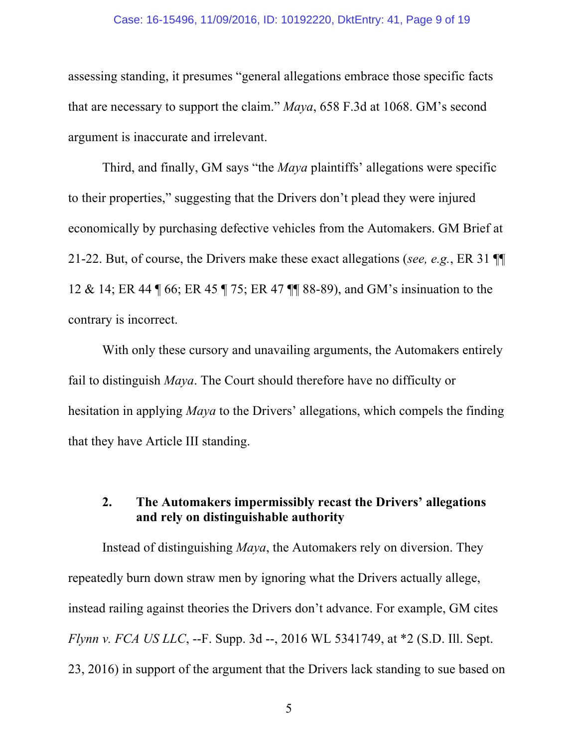#### Case: 16-15496, 11/09/2016, ID: 10192220, DktEntry: 41, Page 9 of 19

assessing standing, it presumes "general allegations embrace those specific facts that are necessary to support the claim." *Maya*, 658 F.3d at 1068. GM's second argument is inaccurate and irrelevant.

Third, and finally, GM says "the *Maya* plaintiffs' allegations were specific to their properties," suggesting that the Drivers don't plead they were injured economically by purchasing defective vehicles from the Automakers. GM Brief at 21-22. But, of course, the Drivers make these exact allegations (*see, e.g.*, ER 31 ¶¶ 12 & 14; ER 44 ¶ 66; ER 45 ¶ 75; ER 47 ¶¶ 88-89), and GM's insinuation to the contrary is incorrect.

With only these cursory and unavailing arguments, the Automakers entirely fail to distinguish *Maya*. The Court should therefore have no difficulty or hesitation in applying *Maya* to the Drivers' allegations, which compels the finding that they have Article III standing.

### **2. The Automakers impermissibly recast the Drivers' allegations and rely on distinguishable authority**

Instead of distinguishing *Maya*, the Automakers rely on diversion. They repeatedly burn down straw men by ignoring what the Drivers actually allege, instead railing against theories the Drivers don't advance. For example, GM cites *Flynn v. FCA US LLC*, --F. Supp. 3d --, 2016 WL 5341749, at \*2 (S.D. Ill. Sept. 23, 2016) in support of the argument that the Drivers lack standing to sue based on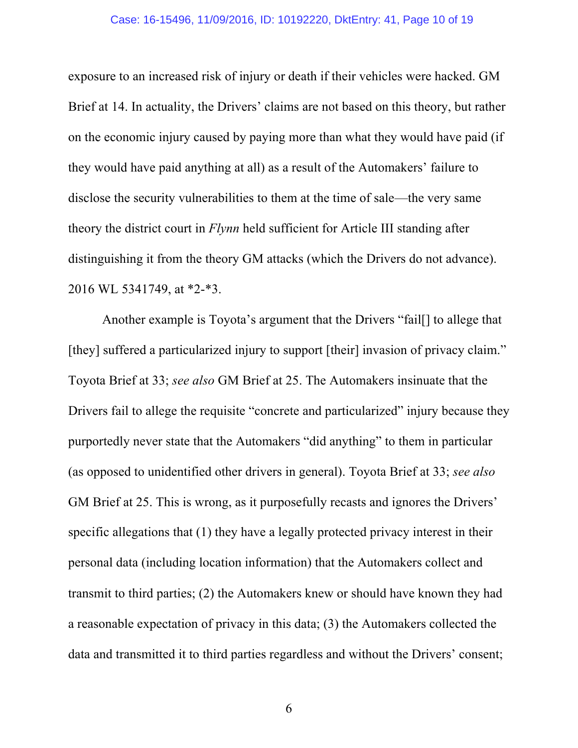exposure to an increased risk of injury or death if their vehicles were hacked. GM Brief at 14. In actuality, the Drivers' claims are not based on this theory, but rather on the economic injury caused by paying more than what they would have paid (if they would have paid anything at all) as a result of the Automakers' failure to disclose the security vulnerabilities to them at the time of sale—the very same theory the district court in *Flynn* held sufficient for Article III standing after distinguishing it from the theory GM attacks (which the Drivers do not advance). 2016 WL 5341749, at \*2-\*3.

Another example is Toyota's argument that the Drivers "fail[] to allege that [they] suffered a particularized injury to support [their] invasion of privacy claim." Toyota Brief at 33; *see also* GM Brief at 25. The Automakers insinuate that the Drivers fail to allege the requisite "concrete and particularized" injury because they purportedly never state that the Automakers "did anything" to them in particular (as opposed to unidentified other drivers in general). Toyota Brief at 33; *see also* GM Brief at 25. This is wrong, as it purposefully recasts and ignores the Drivers' specific allegations that (1) they have a legally protected privacy interest in their personal data (including location information) that the Automakers collect and transmit to third parties; (2) the Automakers knew or should have known they had a reasonable expectation of privacy in this data; (3) the Automakers collected the data and transmitted it to third parties regardless and without the Drivers' consent;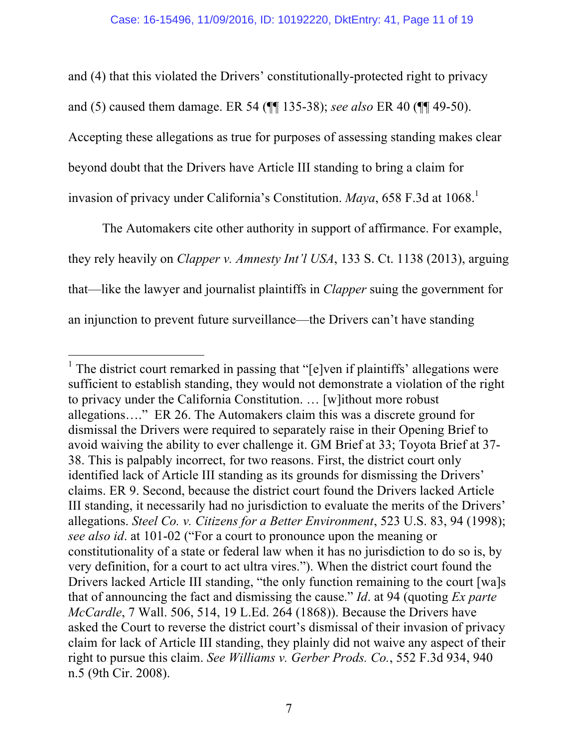and (4) that this violated the Drivers' constitutionally-protected right to privacy and (5) caused them damage. ER 54 (¶¶ 135-38); *see also* ER 40 (¶¶ 49-50). Accepting these allegations as true for purposes of assessing standing makes clear beyond doubt that the Drivers have Article III standing to bring a claim for invasion of privacy under California's Constitution. *Maya*, 658 F.3d at 1068.<sup>1</sup>

The Automakers cite other authority in support of affirmance. For example, they rely heavily on *Clapper v. Amnesty Int'l USA*, 133 S. Ct. 1138 (2013), arguing that—like the lawyer and journalist plaintiffs in *Clapper* suing the government for an injunction to prevent future surveillance—the Drivers can't have standing

<sup>&</sup>lt;sup>1</sup> The district court remarked in passing that " $[e]$ ven if plaintiffs' allegations were sufficient to establish standing, they would not demonstrate a violation of the right to privacy under the California Constitution. … [w]ithout more robust allegations…." ER 26. The Automakers claim this was a discrete ground for dismissal the Drivers were required to separately raise in their Opening Brief to avoid waiving the ability to ever challenge it. GM Brief at 33; Toyota Brief at 37- 38. This is palpably incorrect, for two reasons. First, the district court only identified lack of Article III standing as its grounds for dismissing the Drivers' claims. ER 9. Second, because the district court found the Drivers lacked Article III standing, it necessarily had no jurisdiction to evaluate the merits of the Drivers' allegations. *Steel Co. v. Citizens for a Better Environment*, 523 U.S. 83, 94 (1998); *see also id*. at 101-02 ("For a court to pronounce upon the meaning or constitutionality of a state or federal law when it has no jurisdiction to do so is, by very definition, for a court to act ultra vires."). When the district court found the Drivers lacked Article III standing, "the only function remaining to the court [wa]s that of announcing the fact and dismissing the cause." *Id*. at 94 (quoting *Ex parte McCardle*, 7 Wall. 506, 514, 19 L.Ed. 264 (1868)). Because the Drivers have asked the Court to reverse the district court's dismissal of their invasion of privacy claim for lack of Article III standing, they plainly did not waive any aspect of their right to pursue this claim. *See Williams v. Gerber Prods. Co.*, 552 F.3d 934, 940 n.5 (9th Cir. 2008).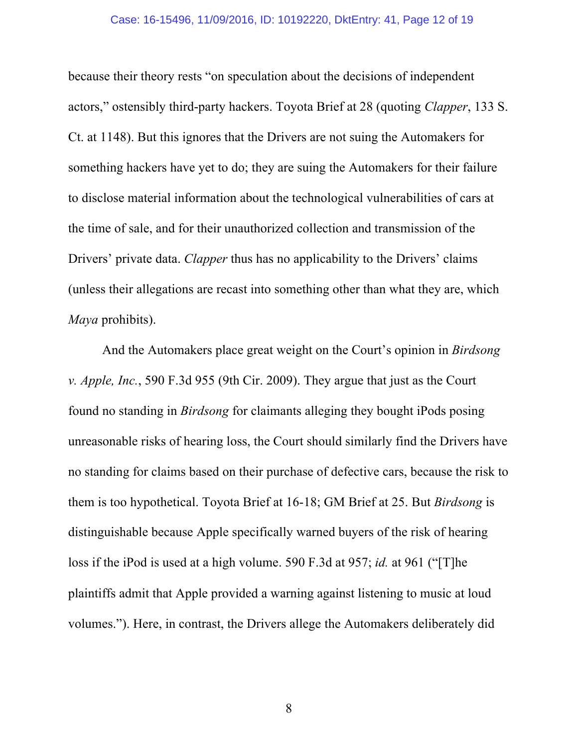because their theory rests "on speculation about the decisions of independent actors," ostensibly third-party hackers. Toyota Brief at 28 (quoting *Clapper*, 133 S. Ct. at 1148). But this ignores that the Drivers are not suing the Automakers for something hackers have yet to do; they are suing the Automakers for their failure to disclose material information about the technological vulnerabilities of cars at the time of sale, and for their unauthorized collection and transmission of the Drivers' private data. *Clapper* thus has no applicability to the Drivers' claims (unless their allegations are recast into something other than what they are, which *Maya* prohibits).

And the Automakers place great weight on the Court's opinion in *Birdsong v. Apple, Inc.*, 590 F.3d 955 (9th Cir. 2009). They argue that just as the Court found no standing in *Birdsong* for claimants alleging they bought iPods posing unreasonable risks of hearing loss, the Court should similarly find the Drivers have no standing for claims based on their purchase of defective cars, because the risk to them is too hypothetical. Toyota Brief at 16-18; GM Brief at 25. But *Birdsong* is distinguishable because Apple specifically warned buyers of the risk of hearing loss if the iPod is used at a high volume. 590 F.3d at 957; *id.* at 961 ("[T]he plaintiffs admit that Apple provided a warning against listening to music at loud volumes."). Here, in contrast, the Drivers allege the Automakers deliberately did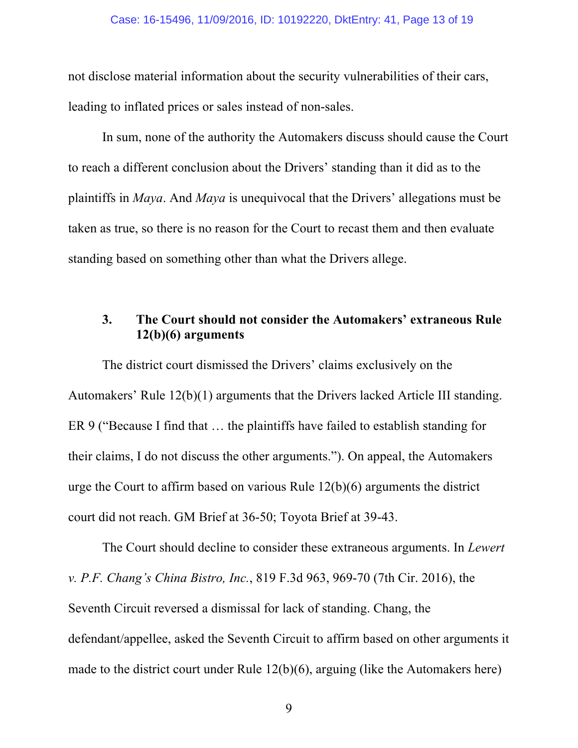not disclose material information about the security vulnerabilities of their cars, leading to inflated prices or sales instead of non-sales.

In sum, none of the authority the Automakers discuss should cause the Court to reach a different conclusion about the Drivers' standing than it did as to the plaintiffs in *Maya*. And *Maya* is unequivocal that the Drivers' allegations must be taken as true, so there is no reason for the Court to recast them and then evaluate standing based on something other than what the Drivers allege.

## **3. The Court should not consider the Automakers' extraneous Rule 12(b)(6) arguments**

The district court dismissed the Drivers' claims exclusively on the Automakers' Rule 12(b)(1) arguments that the Drivers lacked Article III standing. ER 9 ("Because I find that … the plaintiffs have failed to establish standing for their claims, I do not discuss the other arguments."). On appeal, the Automakers urge the Court to affirm based on various Rule 12(b)(6) arguments the district court did not reach. GM Brief at 36-50; Toyota Brief at 39-43.

The Court should decline to consider these extraneous arguments. In *Lewert v. P.F. Chang's China Bistro, Inc.*, 819 F.3d 963, 969-70 (7th Cir. 2016), the Seventh Circuit reversed a dismissal for lack of standing. Chang, the defendant/appellee, asked the Seventh Circuit to affirm based on other arguments it made to the district court under Rule 12(b)(6), arguing (like the Automakers here)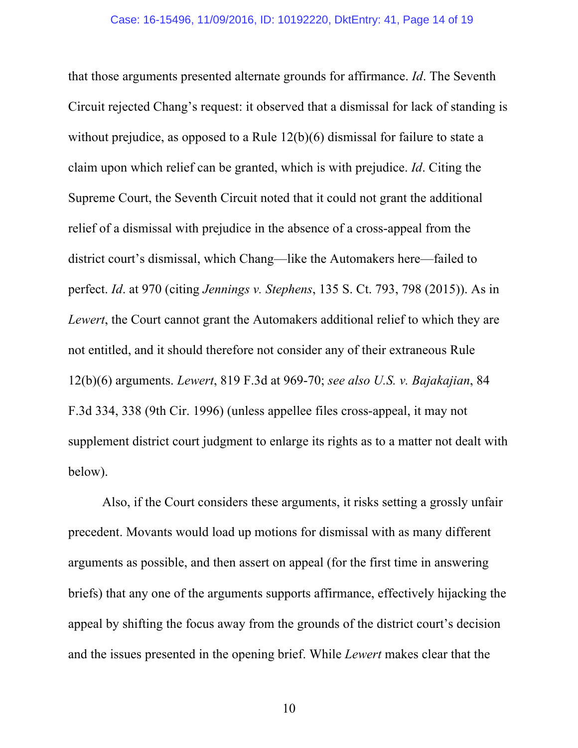that those arguments presented alternate grounds for affirmance. *Id*. The Seventh Circuit rejected Chang's request: it observed that a dismissal for lack of standing is without prejudice, as opposed to a Rule 12(b)(6) dismissal for failure to state a claim upon which relief can be granted, which is with prejudice. *Id*. Citing the Supreme Court, the Seventh Circuit noted that it could not grant the additional relief of a dismissal with prejudice in the absence of a cross-appeal from the district court's dismissal, which Chang—like the Automakers here—failed to perfect. *Id*. at 970 (citing *Jennings v. Stephens*, 135 S. Ct. 793, 798 (2015)). As in *Lewert*, the Court cannot grant the Automakers additional relief to which they are not entitled, and it should therefore not consider any of their extraneous Rule 12(b)(6) arguments. *Lewert*, 819 F.3d at 969-70; *see also U.S. v. Bajakajian*, 84 F.3d 334, 338 (9th Cir. 1996) (unless appellee files cross-appeal, it may not supplement district court judgment to enlarge its rights as to a matter not dealt with below).

Also, if the Court considers these arguments, it risks setting a grossly unfair precedent. Movants would load up motions for dismissal with as many different arguments as possible, and then assert on appeal (for the first time in answering briefs) that any one of the arguments supports affirmance, effectively hijacking the appeal by shifting the focus away from the grounds of the district court's decision and the issues presented in the opening brief. While *Lewert* makes clear that the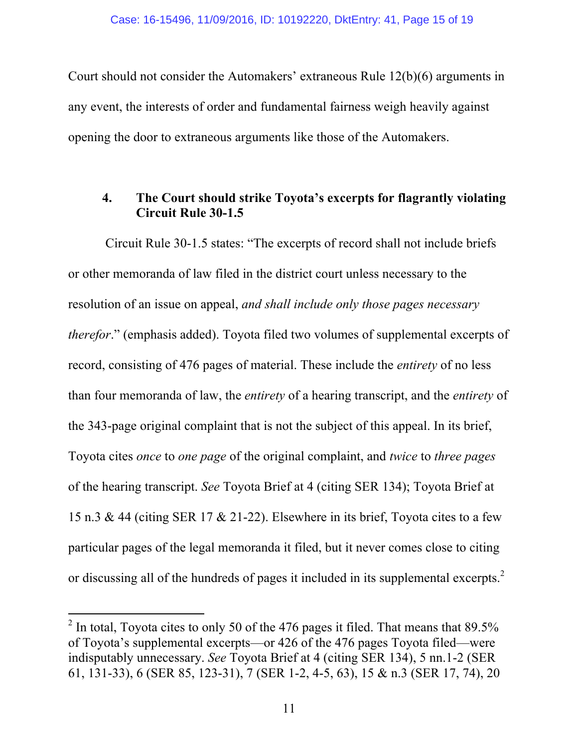Court should not consider the Automakers' extraneous Rule 12(b)(6) arguments in any event, the interests of order and fundamental fairness weigh heavily against opening the door to extraneous arguments like those of the Automakers.

### **4. The Court should strike Toyota's excerpts for flagrantly violating Circuit Rule 30-1.5**

Circuit Rule 30-1.5 states: "The excerpts of record shall not include briefs or other memoranda of law filed in the district court unless necessary to the resolution of an issue on appeal, *and shall include only those pages necessary therefor*." (emphasis added). Toyota filed two volumes of supplemental excerpts of record, consisting of 476 pages of material. These include the *entirety* of no less than four memoranda of law, the *entirety* of a hearing transcript, and the *entirety* of the 343-page original complaint that is not the subject of this appeal. In its brief, Toyota cites *once* to *one page* of the original complaint, and *twice* to *three pages* of the hearing transcript. *See* Toyota Brief at 4 (citing SER 134); Toyota Brief at 15 n.3 & 44 (citing SER 17 & 21-22). Elsewhere in its brief, Toyota cites to a few particular pages of the legal memoranda it filed, but it never comes close to citing or discussing all of the hundreds of pages it included in its supplemental excerpts.<sup>2</sup>

 $2$  In total, Toyota cites to only 50 of the 476 pages it filed. That means that 89.5% of Toyota's supplemental excerpts—or 426 of the 476 pages Toyota filed—were indisputably unnecessary. *See* Toyota Brief at 4 (citing SER 134), 5 nn.1-2 (SER 61, 131-33), 6 (SER 85, 123-31), 7 (SER 1-2, 4-5, 63), 15 & n.3 (SER 17, 74), 20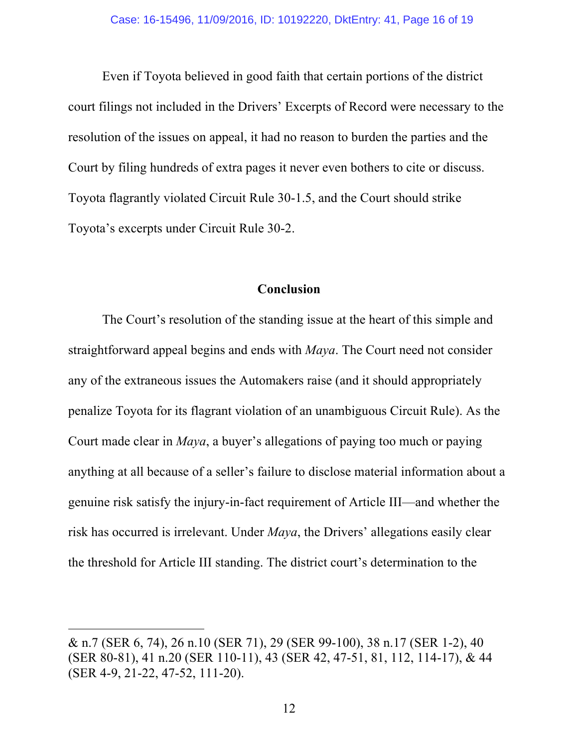Even if Toyota believed in good faith that certain portions of the district court filings not included in the Drivers' Excerpts of Record were necessary to the resolution of the issues on appeal, it had no reason to burden the parties and the Court by filing hundreds of extra pages it never even bothers to cite or discuss. Toyota flagrantly violated Circuit Rule 30-1.5, and the Court should strike Toyota's excerpts under Circuit Rule 30-2.

### **Conclusion**

The Court's resolution of the standing issue at the heart of this simple and straightforward appeal begins and ends with *Maya*. The Court need not consider any of the extraneous issues the Automakers raise (and it should appropriately penalize Toyota for its flagrant violation of an unambiguous Circuit Rule). As the Court made clear in *Maya*, a buyer's allegations of paying too much or paying anything at all because of a seller's failure to disclose material information about a genuine risk satisfy the injury-in-fact requirement of Article III—and whether the risk has occurred is irrelevant. Under *Maya*, the Drivers' allegations easily clear the threshold for Article III standing. The district court's determination to the

<sup>&</sup>amp; n.7 (SER 6, 74), 26 n.10 (SER 71), 29 (SER 99-100), 38 n.17 (SER 1-2), 40 (SER 80-81), 41 n.20 (SER 110-11), 43 (SER 42, 47-51, 81, 112, 114-17), & 44 (SER 4-9, 21-22, 47-52, 111-20).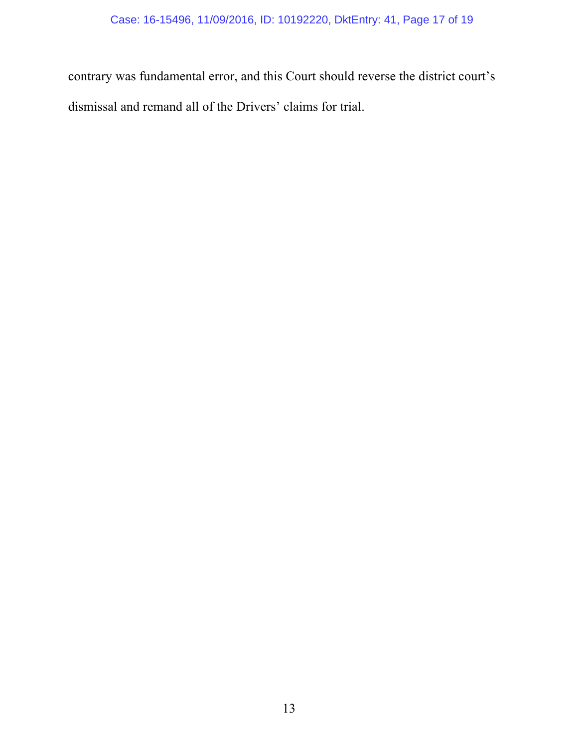contrary was fundamental error, and this Court should reverse the district court's dismissal and remand all of the Drivers' claims for trial.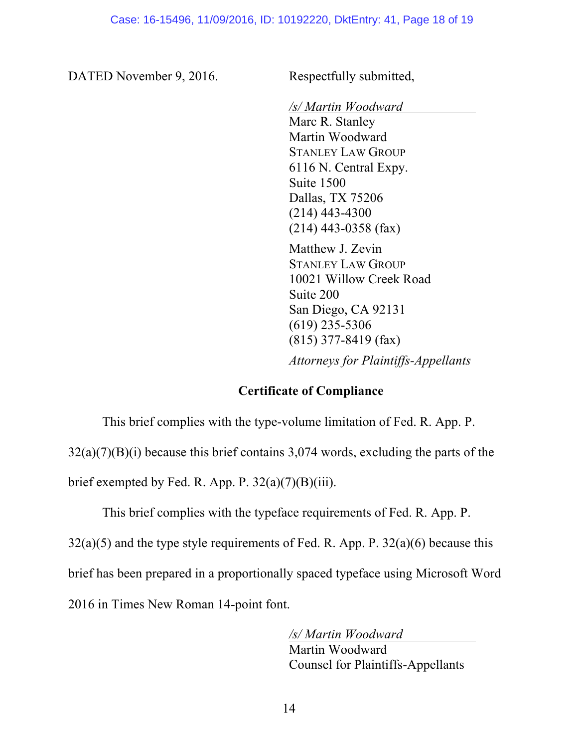DATED November 9, 2016. Respectfully submitted,

*/s/ Martin Woodward*

Marc R. Stanley Martin Woodward STANLEY LAW GROUP 6116 N. Central Expy. Suite 1500 Dallas, TX 75206 (214) 443-4300 (214) 443-0358 (fax)

Matthew J. Zevin STANLEY LAW GROUP 10021 Willow Creek Road Suite 200 San Diego, CA 92131 (619) 235-5306 (815) 377-8419 (fax)

*Attorneys for Plaintiffs-Appellants* 

#### **Certificate of Compliance**

This brief complies with the type-volume limitation of Fed. R. App. P.

32(a)(7)(B)(i) because this brief contains 3,074 words, excluding the parts of the

brief exempted by Fed. R. App. P.  $32(a)(7)(B)(iii)$ .

This brief complies with the typeface requirements of Fed. R. App. P.

 $32(a)(5)$  and the type style requirements of Fed. R. App. P.  $32(a)(6)$  because this

brief has been prepared in a proportionally spaced typeface using Microsoft Word

2016 in Times New Roman 14-point font.

*/s/ Martin Woodward* Martin Woodward Counsel for Plaintiffs-Appellants